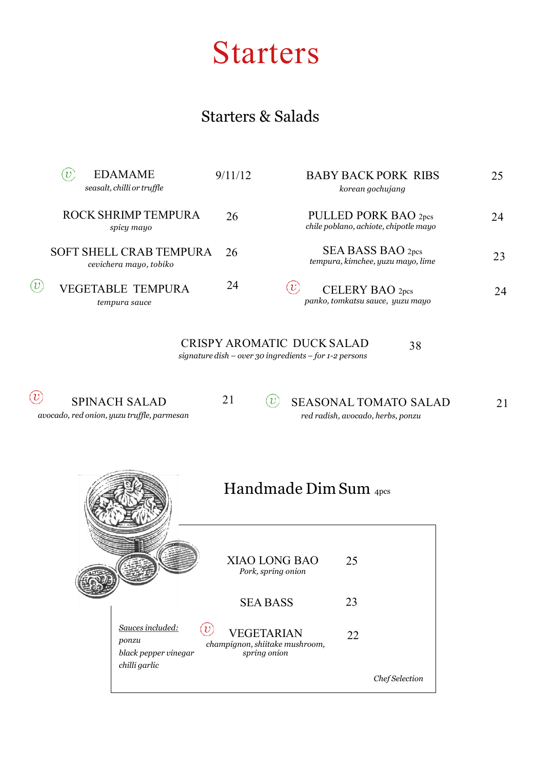### Starters

#### Starters & Salads

| <b>EDAMAME</b><br>υ<br>seasalt, chilli or truffle        | 9/11/12 | <b>BABY BACK PORK RIBS</b><br>korean gochujang                | 25 |
|----------------------------------------------------------|---------|---------------------------------------------------------------|----|
| ROCK SHRIMP TEMPURA<br>spicy mayo                        | 26      | PULLED PORK BAO 2pcs<br>chile poblano, achiote, chipotle mayo | 24 |
| <b>SOFT SHELL CRAB TEMPURA</b><br>cevichera mayo, tobiko | 26      | SEA BASS BAO 2pcs<br>tempura, kimchee, yuzu mayo, lime        | 23 |
| <b>VEGETABLE TEMPURA</b><br>tempura sauce                | 24      | CELERY BAO 2pcs<br>panko, tomkatsu sauce, yuzu mayo           | 24 |

CRISPY AROMATIC DUCK SALAD *signature dish – over 30 ingredients – for 1-2 persons* 38

 $\circled{v}$ SPINACH SALAD

21

 $\left(\overline{v}\right)$ SEASONAL TOMATO SALAD 21 *red radish, avocado, herbs, ponzu*

*avocado, red onion, yuzu truffle, parmesan*

| Handmade $Dim$ Sum $_{4pcs}$ |
|------------------------------|
|                              |
|                              |

|                                                                    | XIAO LONG BAO<br>Pork, spring onion                                 | 25 |                |
|--------------------------------------------------------------------|---------------------------------------------------------------------|----|----------------|
|                                                                    | <b>SEA BASS</b>                                                     | 23 |                |
| Sauces included:<br>ponzu<br>black pepper vinegar<br>chilli garlic | <b>VEGETARIAN</b><br>champignon, shiitake mushroom,<br>spring onion | 22 |                |
|                                                                    |                                                                     |    | Chef Selection |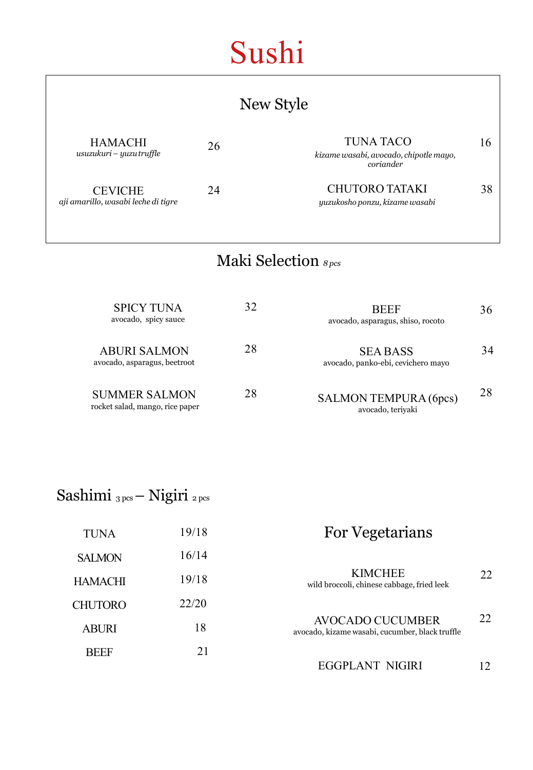# Sushi

| New Style                                             |    |                                                                         |    |
|-------------------------------------------------------|----|-------------------------------------------------------------------------|----|
| <b>HAMACHI</b><br>usuzukuri – yuzu truffle            | 26 | <b>TUNA TACO</b><br>kizame wasabi, avocado, chipotle mayo,<br>coriander | 16 |
| <b>CEVICHE</b><br>aji amarillo, wasabi leche di tigre | 24 | <b>CHUTORO TATAKI</b><br>yuzukosho ponzu, kizame wasabi                 | 38 |
| Maki Selection <sub>8pcs</sub>                        |    |                                                                         |    |
| <b>SPICY TUNA</b><br>avocado, spicy sauce             | 32 | <b>BEEF</b><br>avocado, asparagus, shiso, rocoto                        | 36 |
| <b>ABURI SALMON</b><br>avocado, asparagus, beetroot   | 28 | <b>SEA BASS</b><br>avocado, panko-ebi, cevichero mayo                   | 34 |

| <b>SUMMER SALMON</b>            | 28 | SALMON TEMPURA (6pcs) | 28 |
|---------------------------------|----|-----------------------|----|
| rocket salad, mango, rice paper |    | avocado, teriyaki     |    |

| Sashimi <sub>3pcs</sub> - Nigiri <sub>2pcs</sub> |  |  |  |
|--------------------------------------------------|--|--|--|
|--------------------------------------------------|--|--|--|

| <b>TUNA</b>    | 19/18 | <b>For Vegetarians</b>                                              |    |
|----------------|-------|---------------------------------------------------------------------|----|
| <b>SALMON</b>  | 16/14 |                                                                     |    |
| <b>HAMACHI</b> | 19/18 | <b>KIMCHEE</b><br>wild broccoli, chinese cabbage, fried leek        | 22 |
| <b>CHUTORO</b> | 22/20 |                                                                     |    |
| <b>ABURI</b>   | 18    | AVOCADO CUCUMBER<br>avocado, kizame wasabi, cucumber, black truffle | 22 |
| <b>BEEF</b>    | 21    | EGGPLANT NIGIRI                                                     |    |